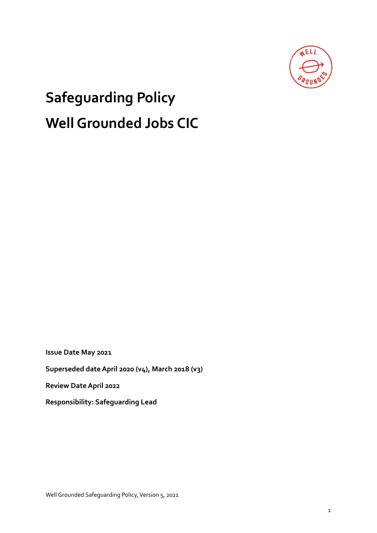

# **Safeguarding Policy Well Grounded Jobs CIC**

**Issue Date May 2021**

**Superseded date April 2020 (v4), March 2018 (v3)**

**Review Date April 2022**

**Responsibility: Safeguarding Lead**

Well Grounded Safeguarding Policy, Version 5, 2021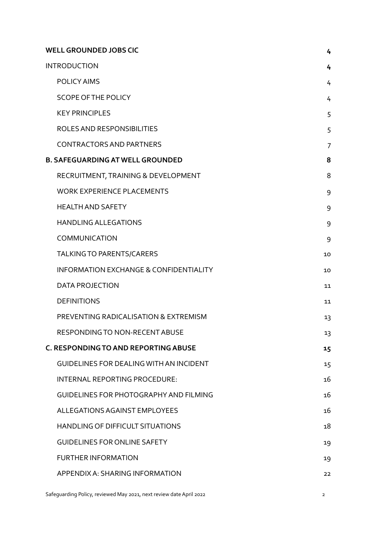| <b>WELL GROUNDED JOBS CIC</b>                     | 4              |
|---------------------------------------------------|----------------|
| <b>INTRODUCTION</b>                               | 4              |
| <b>POLICY AIMS</b>                                | 4              |
| <b>SCOPE OF THE POLICY</b>                        | 4              |
| <b>KEY PRINCIPLES</b>                             | 5              |
| <b>ROLES AND RESPONSIBILITIES</b>                 | 5              |
| <b>CONTRACTORS AND PARTNERS</b>                   | $\overline{7}$ |
| <b>B. SAFEGUARDING AT WELL GROUNDED</b>           | 8              |
| RECRUITMENT, TRAINING & DEVELOPMENT               | 8              |
| <b>WORK EXPERIENCE PLACEMENTS</b>                 | 9              |
| <b>HEALTH AND SAFETY</b>                          | 9              |
| <b>HANDLING ALLEGATIONS</b>                       | 9              |
| <b>COMMUNICATION</b>                              | 9              |
| TALKING TO PARENTS/CARERS                         | 10             |
| <b>INFORMATION EXCHANGE &amp; CONFIDENTIALITY</b> | 10             |
| <b>DATA PROJECTION</b>                            | 11             |
| <b>DEFINITIONS</b>                                | 11             |
| PREVENTING RADICALISATION & EXTREMISM             | 13             |
| RESPONDING TO NON-RECENT ABUSE                    | 13             |
| <b>C. RESPONDING TO AND REPORTING ABUSE</b>       | 15             |
| <b>GUIDELINES FOR DEALING WITH AN INCIDENT</b>    | 15             |
| INTERNAL REPORTING PROCEDURE:                     | 16             |
| <b>GUIDELINES FOR PHOTOGRAPHY AND FILMING</b>     | 16             |
| <b>ALLEGATIONS AGAINST EMPLOYEES</b>              | 16             |
| <b>HANDLING OF DIFFICULT SITUATIONS</b>           | 18             |
| <b>GUIDELINES FOR ONLINE SAFETY</b>               | 19             |
| <b>FURTHER INFORMATION</b>                        | 19             |
| APPENDIX A: SHARING INFORMATION                   | 22             |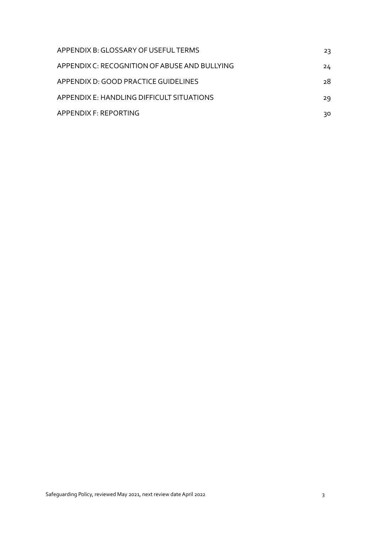| APPENDIX B: GLOSSARY OF USEFUL TERMS          | 23  |
|-----------------------------------------------|-----|
| APPENDIX C: RECOGNITION OF ABUSE AND BULLYING | 24  |
| APPENDIX D: GOOD PRACTICE GUIDELINES          | 28. |
| APPENDIX E: HANDLING DIFFICULT SITUATIONS     | 29  |
| APPENDIX F: REPORTING                         | 30  |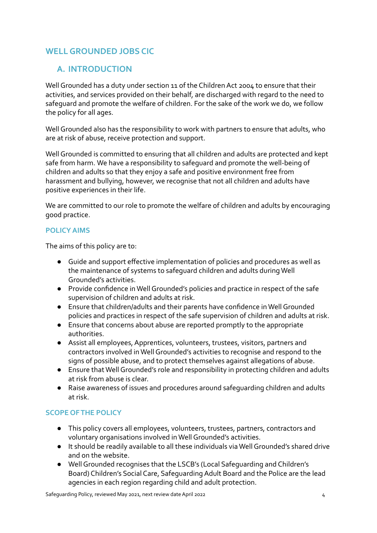# <span id="page-3-0"></span>**WELLGROUNDED JOBS CIC**

# <span id="page-3-1"></span>**A. INTRODUCTION**

Well Grounded has a duty under section 11 of the Children Act 2004 to ensure that their activities, and services provided on their behalf, are discharged with regard to the need to safeguard and promote the welfare of children. For the sake of the work we do, we follow the policy for all ages.

Well Grounded also has the responsibility to work with partners to ensure that adults, who are at risk of abuse, receive protection and support.

Well Grounded is committed to ensuring that all children and adults are protected and kept safe from harm. We have a responsibility to safeguard and promote the well-being of children and adults so that they enjoy a safe and positive environment free from harassment and bullying, however, we recognise that not all children and adults have positive experiences in their life.

We are committed to our role to promote the welfare of children and adults by encouraging good practice.

## <span id="page-3-2"></span>**POLICY AIMS**

The aims of this policy are to:

- Guide and support effective implementation of policies and procedures as well as the maintenance of systems to safeguard children and adults during Well Grounded's activities.
- Provide confidence in Well Grounded's policies and practice in respect of the safe supervision of children and adults at risk.
- Ensure that children/adults and their parents have confidence in Well Grounded policies and practices in respect of the safe supervision of children and adults at risk.
- Ensure that concerns about abuse are reported promptly to the appropriate authorities.
- Assist all employees, Apprentices, volunteers, trustees, visitors, partners and contractors involved in Well Grounded's activities to recognise and respond to the signs of possible abuse, and to protect themselves against allegations of abuse.
- Ensure that Well Grounded's role and responsibility in protecting children and adults at risk from abuse is clear.
- Raise awareness of issues and procedures around safeguarding children and adults at risk.

#### <span id="page-3-3"></span>**SCOPE OF THE POLICY**

- This policy covers all employees, volunteers, trustees, partners, contractors and voluntary organisations involved in Well Grounded's activities.
- It should be readily available to all these individuals via Well Grounded's shared drive and on the website.
- Well Grounded recognises that the LSCB's (Local Safeguarding and Children's Board) Children's Social Care, Safeguarding Adult Board and the Police are the lead agencies in each region regarding child and adult protection.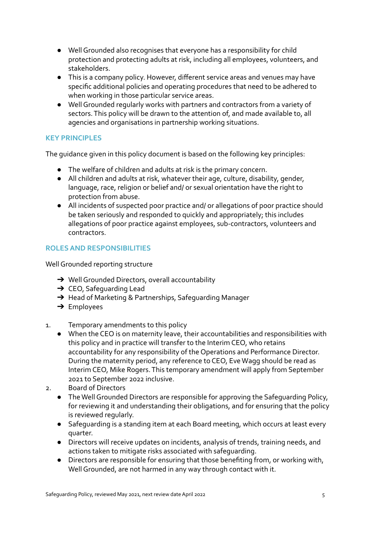- Well Grounded also recognises that everyone has a responsibility for child protection and protecting adults at risk, including all employees, volunteers, and stakeholders.
- This is a company policy. However, different service areas and venues may have specific additional policies and operating procedures that need to be adhered to when working in those particular service areas.
- Well Grounded regularly works with partners and contractors from a variety of sectors. This policy will be drawn to the attention of, and made available to, all agencies and organisations in partnership working situations.

# <span id="page-4-0"></span>**KEY PRINCIPLES**

The guidance given in this policy document is based on the following key principles:

- The welfare of children and adults at risk is the primary concern.
- All children and adults at risk, whatever their age, culture, disability, gender, language, race, religion or belief and/ or sexual orientation have the right to protection from abuse.
- All incidents of suspected poor practice and/ or allegations of poor practice should be taken seriously and responded to quickly and appropriately; this includes allegations of poor practice against employees, sub-contractors, volunteers and contractors.

# <span id="page-4-1"></span>**ROLES AND RESPONSIBILITIES**

Well Grounded reporting structure

- → Well Grounded Directors, overall accountability
- → CEO, Safeguarding Lead
- → Head of Marketing & Partnerships, Safeguarding Manager
- → Employees
- 1. Temporary amendments to this policy
	- When the CEO is on maternity leave, their accountabilities and responsibilities with this policy and in practice will transfer to the Interim CEO, who retains accountability for any responsibility of the Operations and Performance Director. During the maternity period, any reference to CEO, Eve Wagg should be read as Interim CEO, Mike Rogers. This temporary amendment will apply from September 2021 to September 2022 inclusive.
- 2. Board of Directors
	- The Well Grounded Directors are responsible for approving the Safeguarding Policy, for reviewing it and understanding their obligations, and for ensuring that the policy is reviewed regularly.
	- Safeguarding is a standing item at each Board meeting, which occurs at least every quarter.
	- Directors will receive updates on incidents, analysis of trends, training needs, and actions taken to mitigate risks associated with safeguarding.
	- Directors are responsible for ensuring that those benefiting from, or working with, Well Grounded, are not harmed in any way through contact with it.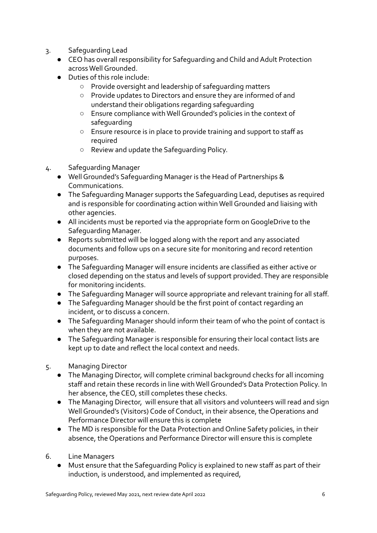- 3. Safeguarding Lead
	- CEO has overall responsibility for Safeguarding and Child and Adult Protection across Well Grounded.
	- Duties of this role include:
		- Provide oversight and leadership of safeguarding matters
		- Provide updates to Directors and ensure they are informed of and understand their obligations regarding safeguarding
		- Ensure compliance with Well Grounded's policies in the context of safeguarding
		- Ensure resource is in place to provide training and support to staff as required
		- Review and update the Safeguarding Policy.
- 4. Safeguarding Manager
	- Well Grounded's Safeguarding Manager is the Head of Partnerships & Communications.
	- The Safeguarding Manager supports the Safeguarding Lead, deputises as required and is responsible for coordinating action within Well Grounded and liaising with other agencies.
	- All incidents must be reported via the appropriate form on GoogleDrive to the Safeguarding Manager.
	- Reports submitted will be logged along with the report and any associated documents and follow ups on a secure site for monitoring and record retention purposes.
	- The Safeguarding Manager will ensure incidents are classified as either active or closed depending on the status and levels of support provided. They are responsible for monitoring incidents.
	- The Safeguarding Manager will source appropriate and relevant training for all staff.
	- The Safeguarding Manager should be the first point of contact regarding an incident, or to discuss a concern.
	- The Safeguarding Manager should inform their team of who the point of contact is when they are not available.
	- The Safeguarding Manager is responsible for ensuring their local contact lists are kept up to date and reflect the local context and needs.
- 5. Managing Director
	- The Managing Director, will complete criminal background checks for all incoming staff and retain these records in line with Well Grounded's Data Protection Policy. In her absence, the CEO, still completes these checks.
	- The Managing Director, will ensure that all visitors and volunteers will read and sign Well Grounded's (Visitors) Code of Conduct, in their absence, the Operations and Performance Director will ensure this is complete
	- The MD is responsible for the Data Protection and Online Safety policies, in their absence, the Operations and Performance Director will ensure this is complete
- 6. Line Managers
	- Must ensure that the Safeguarding Policy is explained to new staff as part of their induction, is understood, and implemented as required,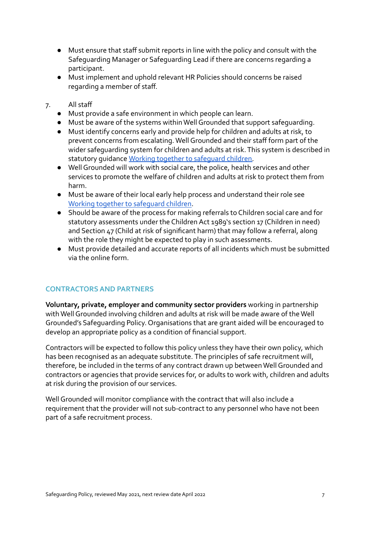- Must ensure that staff submit reports in line with the policy and consult with the Safeguarding Manager or Safeguarding Lead if there are concerns regarding a participant.
- Must implement and uphold relevant HR Policies should concerns be raised regarding a member of staff.
- 7. All staff
	- Must provide a safe environment in which people can learn.
	- Must be aware of the systems within Well Grounded that support safeguarding.
	- Must identify concerns early and provide help for children and adults at risk, to prevent concerns from escalating. Well Grounded and their staff form part of the wider safeguarding system for children and adults at risk. This system is described in statutory guidance [Working together to safeguard children.](https://assets.publishing.service.gov.uk/government/uploads/system/uploads/attachment_data/file/779401/Working_Together_to_Safeguard-Children.pdf)
	- Well Grounded will work with social care, the police, health services and other services to promote the welfare of children and adults at risk to protect them from harm.
	- Must be aware of their local early help process and understand their role see [Working together to safeguard children.](https://assets.publishing.service.gov.uk/government/uploads/system/uploads/attachment_data/file/779401/Working_Together_to_Safeguard-Children.pdf)
	- Should be aware of the process for making referrals to Children social care and for statutory assessments under the Children Act 1989's section 17 (Children in need) and Section 47 (Child at risk of significant harm) that may follow a referral, along with the role they might be expected to play in such assessments.
	- Must provide detailed and accurate reports of all incidents which must be submitted via the online form.

#### <span id="page-6-0"></span>**CONTRACTORS AND PARTNERS**

**Voluntary, private, employer and community sector providers** working in partnership with Well Grounded involving children and adults at risk will be made aware of the Well Grounded's Safeguarding Policy. Organisations that are grant aided will be encouraged to develop an appropriate policy as a condition of financial support.

Contractors will be expected to follow this policy unless they have their own policy, which has been recognised as an adequate substitute. The principles of safe recruitment will, therefore, be included in the terms of any contract drawn up between Well Grounded and contractors or agencies that provide services for, or adults to work with, children and adults at risk during the provision of our services.

Well Grounded will monitor compliance with the contract that will also include a requirement that the provider will not sub-contract to any personnel who have not been part of a safe recruitment process.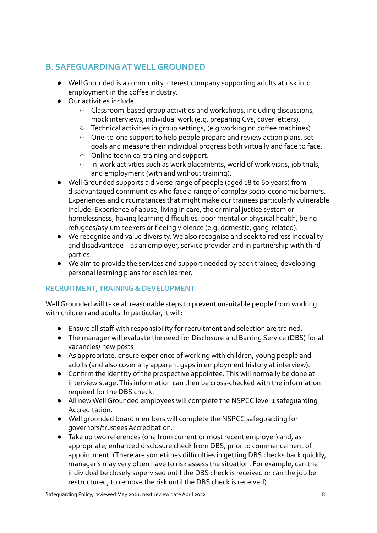# <span id="page-7-0"></span>**B. SAFEGUARDINGAT WELLGROUNDED**

- Well Grounded is a community interest company supporting adults at risk into employment in the coffee industry.
- Our activities include:
	- Classroom-based group activities and workshops, including discussions, mock interviews, individual work (e.g. preparing CVs, cover letters).
	- Technical activities in group settings, (e.g working on coffee machines)
	- One-to-one support to help people prepare and review action plans, set goals and measure their individual progress both virtually and face to face.
	- Online technical training and support.
	- In-work activities such as work placements, world of work visits, job trials, and employment (with and without training).
- Well Grounded supports a diverse range of people (aged 18 to 60 years) from disadvantaged communities who face a range of complex socio-economic barriers. Experiences and circumstances that might make our trainees particularly vulnerable include: Experience of abuse, living in care, the criminal justice system or homelessness, having learning difficulties, poor mental or physical health, being refugees/asylum seekers or fleeing violence (e.g. domestic, gang-related).
- We recognise and value diversity. We also recognise and seek to redress inequality and disadvantage – as an employer, service provider and in partnership with third parties.
- We aim to provide the services and support needed by each trainee, developing personal learning plans for each learner.

# <span id="page-7-1"></span>**RECRUITMENT, TRAINING & DEVELOPMENT**

Well Grounded will take all reasonable steps to prevent unsuitable people from working with children and adults. In particular, it will:

- Ensure all staff with responsibility for recruitment and selection are trained.
- The manager will evaluate the need for Disclosure and Barring Service (DBS) for all vacancies/ new posts
- As appropriate, ensure experience of working with children, young people and adults (and also cover any apparent gaps in employment history at interview).
- Confirm the identity of the prospective appointee. This will normally be done at interview stage. This information can then be cross-checked with the information required for the DBS check.
- All new Well Grounded employees will complete the NSPCC level 1 safeguarding Accreditation.
- Well grounded board members will complete the NSPCC safeguarding for governors/trustees Accreditation.
- Take up two references (one from current or most recent employer) and, as appropriate, enhanced disclosure check from DBS, prior to commencement of appointment. (There are sometimes difficulties in getting DBS checks back quickly, manager's may very often have to risk assess the situation. For example, can the individual be closely supervised until the DBS check is received or can the job be restructured, to remove the risk until the DBS check is received).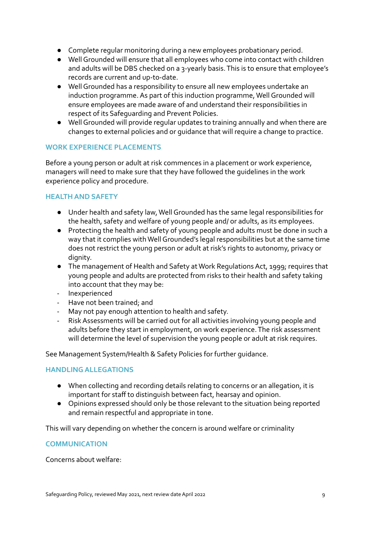- Complete regular monitoring during a new employees probationary period.
- Well Grounded will ensure that all employees who come into contact with children and adults will be DBS checked on a 3-yearly basis. This is to ensure that employee's records are current and up-to-date.
- Well Grounded has a responsibility to ensure all new employees undertake an induction programme. As part of this induction programme, Well Grounded will ensure employees are made aware of and understand their responsibilities in respect of its Safeguarding and Prevent Policies.
- Well Grounded will provide regular updates to training annually and when there are changes to external policies and or guidance that will require a change to practice.

#### <span id="page-8-0"></span>**WORK EXPERIENCE PLACEMENTS**

Before a young person or adult at risk commences in a placement or work experience, managers will need to make sure that they have followed the guidelines in the work experience policy and procedure.

#### <span id="page-8-1"></span>**HEALTH AND SAFETY**

- Under health and safety law, Well Grounded has the same legal responsibilities for the health, safety and welfare of young people and/ or adults, as its employees.
- Protecting the health and safety of young people and adults must be done in such a way that it complies with Well Grounded's legal responsibilities but at the same time does not restrict the young person or adult at risk's rights to autonomy, privacy or dignity.
- The management of Health and Safety at Work Regulations Act, 1999; requires that young people and adults are protected from risks to their health and safety taking into account that they may be:
- Inexperienced
- Have not been trained; and
- May not pay enough attention to health and safety.
- Risk Assessments will be carried out for all activities involving young people and adults before they start in employment, on work experience. The risk assessment will determine the level of supervision the young people or adult at risk requires.

See Management System/Health & Safety Policies for further guidance.

#### <span id="page-8-2"></span>**HANDLING ALLEGATIONS**

- When collecting and recording details relating to concerns or an allegation, it is important for staff to distinguish between fact, hearsay and opinion.
- Opinions expressed should only be those relevant to the situation being reported and remain respectful and appropriate in tone.

This will vary depending on whether the concern is around welfare or criminality

#### <span id="page-8-3"></span>**COMMUNICATION**

Concerns about welfare: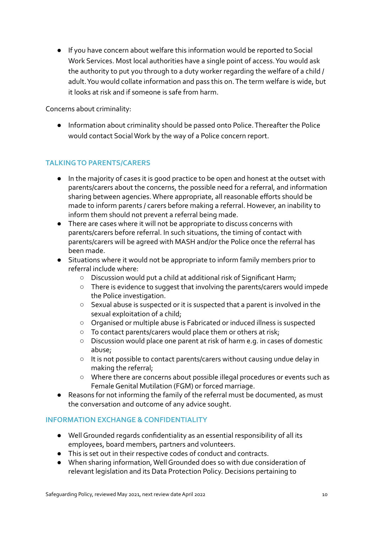● If you have concern about welfare this information would be reported to Social Work Services. Most local authorities have a single point of access. You would ask the authority to put you through to a duty worker regarding the welfare of a child / adult. You would collate information and pass this on. The term welfare is wide, but it looks at risk and if someone is safe from harm.

Concerns about criminality:

● Information about criminality should be passed onto Police. Thereafter the Police would contact Social Work by the way of a Police concern report.

# <span id="page-9-0"></span>**TALKING TO PARENTS/CARERS**

- In the majority of cases it is good practice to be open and honest at the outset with parents/carers about the concerns, the possible need for a referral, and information sharing between agencies. Where appropriate, all reasonable efforts should be made to inform parents / carers before making a referral. However, an inability to inform them should not prevent a referral being made.
- There are cases where it will not be appropriate to discuss concerns with parents/carers before referral. In such situations, the timing of contact with parents/carers will be agreed with MASH and/or the Police once the referral has been made.
- Situations where it would not be appropriate to inform family members prior to referral include where:
	- Discussion would put a child at additional risk of Significant Harm;
	- There is evidence to suggest that involving the parents/carers would impede the Police investigation.
	- Sexual abuse is suspected or it is suspected that a parent is involved in the sexual exploitation of a child;
	- Organised or multiple abuse is Fabricated or induced illness is suspected
	- To contact parents/carers would place them or others at risk;
	- Discussion would place one parent at risk of harm e.g. in cases of domestic abuse;
	- It is not possible to contact parents/carers without causing undue delay in making the referral;
	- Where there are concerns about possible illegal procedures or events such as Female Genital Mutilation (FGM) or forced marriage.
- Reasons for not informing the family of the referral must be documented, as must the conversation and outcome of any advice sought.

# <span id="page-9-1"></span>**INFORMATION EXCHANGE & CONFIDENTIALITY**

- Well Grounded regards confidentiality as an essential responsibility of all its employees, board members, partners and volunteers.
- This is set out in their respective codes of conduct and contracts.
- When sharing information, Well Grounded does so with due consideration of relevant legislation and its Data Protection Policy. Decisions pertaining to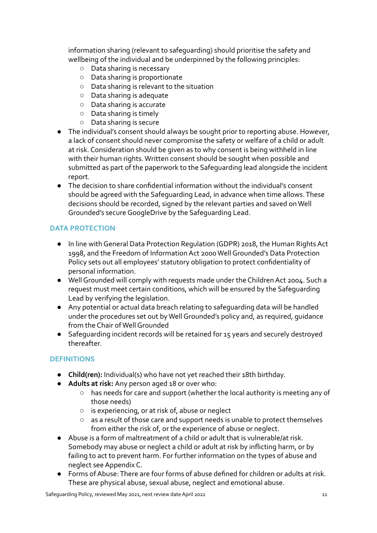information sharing (relevant to safeguarding) should prioritise the safety and wellbeing of the individual and be underpinned by the following principles:

- Data sharing is necessary
- Data sharing is proportionate
- Data sharing is relevant to the situation
- Data sharing is adequate
- Data sharing is accurate
- Data sharing is timely
- Data sharing is secure
- The individual's consent should always be sought prior to reporting abuse. However, a lack of consent should never compromise the safety or welfare of a child or adult at risk. Consideration should be given as to why consent is being withheld in line with their human rights. Written consent should be sought when possible and submitted as part of the paperwork to the Safeguarding lead alongside the incident report.
- The decision to share confidential information without the individual's consent should be agreed with the Safeguarding Lead, in advance when time allows. These decisions should be recorded, signed by the relevant parties and saved on Well Grounded's secure GoogleDrive by the Safeguarding Lead.

## <span id="page-10-0"></span>**DATA PROTECTION**

- In line with General Data Protection Regulation (GDPR) 2018, the Human Rights Act 1998, and the Freedom of Information Act 2000 Well Grounded's Data Protection Policy sets out all employees' statutory obligation to protect confidentiality of personal information.
- Well Grounded will comply with requests made under the Children Act 2004. Such a request must meet certain conditions, which will be ensured by the Safeguarding Lead by verifying the legislation.
- Any potential or actual data breach relating to safeguarding data will be handled under the procedures set out by Well Grounded's policy and, as required, guidance from the Chair of Well Grounded
- Safeguarding incident records will be retained for 15 years and securely destroyed thereafter.

#### <span id="page-10-1"></span>**DEFINITIONS**

- **Child(ren):** Individual(s) who have not yet reached their 18th birthday.
- **Adults at risk:** Any person aged 18 or over who:
	- has needs for care and support (whether the local authority is meeting any of those needs)
	- is experiencing, or at risk of, abuse or neglect
	- as a result of those care and support needs is unable to protect themselves from either the risk of, or the experience of abuse or neglect.
- Abuse is a form of maltreatment of a child or adult that is vulnerable/at risk. Somebody may abuse or neglect a child or adult at risk by inflicting harm, or by failing to act to prevent harm. For further information on the types of abuse and neglect see Appendix C.
- Forms of Abuse: There are four forms of abuse defined for children or adults at risk. These are physical abuse, sexual abuse, neglect and emotional abuse.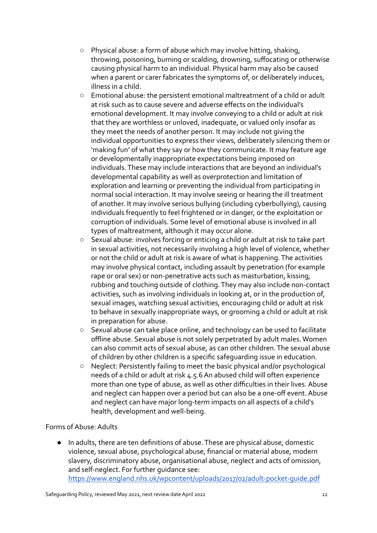- Physical abuse: a form of abuse which may involve hitting, shaking, throwing, poisoning, burning or scalding, drowning, suffocating or otherwise causing physical harm to an individual. Physical harm may also be caused when a parent or carer fabricates the symptoms of, or deliberately induces, illness in a child.
- Emotional abuse: the persistent emotional maltreatment of a child or adult at risk such as to cause severe and adverse effects on the individual's emotional development. It may involve conveying to a child or adult at risk that they are worthless or unloved, inadequate, or valued only insofar as they meet the needs of another person. It may include not giving the individual opportunities to express their views, deliberately silencing them or 'making fun' of what they say or how they communicate. It may feature age or developmentally inappropriate expectations being imposed on individuals. These may include interactions that are beyond an individual's developmental capability as well as overprotection and limitation of exploration and learning or preventing the individual from participating in normal social interaction. It may involve seeing or hearing the ill treatment of another. It may involve serious bullying (including cyberbullying), causing individuals frequently to feel frightened or in danger, or the exploitation or corruption of individuals. Some level of emotional abuse is involved in all types of maltreatment, although it may occur alone.
- Sexual abuse: involves forcing or enticing a child or adult at risk to take part in sexual activities, not necessarily involving a high level of violence, whether or not the child or adult at risk is aware of what is happening. The activities may involve physical contact, including assault by penetration (for example rape or oral sex) or non-penetrative acts such as masturbation, kissing, rubbing and touching outside of clothing. They may also include non-contact activities, such as involving individuals in looking at, or in the production of, sexual images, watching sexual activities, encouraging child or adult at risk to behave in sexually inappropriate ways, or grooming a child or adult at risk in preparation for abuse.
- Sexual abuse can take place online, and technology can be used to facilitate offline abuse. Sexual abuse is not solely perpetrated by adult males. Women can also commit acts of sexual abuse, as can other children. The sexual abuse of children by other children is a specific safeguarding issue in education.
- Neglect: Persistently failing to meet the basic physical and/or psychological needs of a child or adult at risk 4.5.6 An abused child will often experience more than one type of abuse, as well as other difficulties in their lives. Abuse and neglect can happen over a period but can also be a one-off event. Abuse and neglect can have major long-term impacts on all aspects of a child's health, development and well-being.

#### Forms of Abuse: Adults

● In adults, there are ten definitions of abuse. These are physical abuse, domestic violence, sexual abuse, psychological abuse, financial or material abuse, modern slavery, discriminatory abuse, organisational abuse, neglect and acts of omission, and self-neglect. For further guidance see: <https://www.england.nhs.uk/wpcontent/uploads/2017/02/adult-pocket-guide.pdf>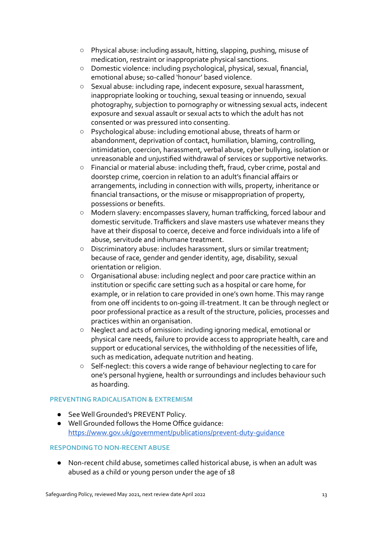- Physical abuse: including assault, hitting, slapping, pushing, misuse of medication, restraint or inappropriate physical sanctions.
- Domestic violence: including psychological, physical, sexual, financial, emotional abuse; so-called 'honour' based violence.
- Sexual abuse: including rape, indecent exposure, sexual harassment, inappropriate looking or touching, sexual teasing or innuendo, sexual photography, subjection to pornography or witnessing sexual acts, indecent exposure and sexual assault or sexual acts to which the adult has not consented or was pressured into consenting.
- Psychological abuse: including emotional abuse, threats of harm or abandonment, deprivation of contact, humiliation, blaming, controlling, intimidation, coercion, harassment, verbal abuse, cyber bullying, isolation or unreasonable and unjustified withdrawal of services or supportive networks.
- Financial or material abuse: including theft, fraud, cyber crime, postal and doorstep crime, coercion in relation to an adult's financial affairs or arrangements, including in connection with wills, property, inheritance or financial transactions, or the misuse or misappropriation of property, possessions or benefits.
- Modern slavery: encompasses slavery, human trafficking, forced labour and domestic servitude. Traffickers and slave masters use whatever means they have at their disposal to coerce, deceive and force individuals into a life of abuse, servitude and inhumane treatment.
- Discriminatory abuse: includes harassment, slurs or similar treatment; because of race, gender and gender identity, age, disability, sexual orientation or religion.
- Organisational abuse: including neglect and poor care practice within an institution or specific care setting such as a hospital or care home, for example, or in relation to care provided in one's own home. This may range from one off incidents to on-going ill-treatment. It can be through neglect or poor professional practice as a result of the structure, policies, processes and practices within an organisation.
- Neglect and acts of omission: including ignoring medical, emotional or physical care needs, failure to provide access to appropriate health, care and support or educational services, the withholding of the necessities of life, such as medication, adequate nutrition and heating.
- Self-neglect: this covers a wide range of behaviour neglecting to care for one's personal hygiene, health or surroundings and includes behaviour such as hoarding.

#### <span id="page-12-0"></span>**PREVENTING RADICALISATION & EXTREMISM**

- See Well Grounded's PREVENT Policy.
- Well Grounded follows the Home Office guidance: <https://www.gov.uk/government/publications/prevent-duty-guidance>

#### <span id="page-12-1"></span>**RESPONDINGTO NON-RECENTABUSE**

● Non-recent child abuse, sometimes called historical abuse, is when an adult was abused as a child or young person under the age of 18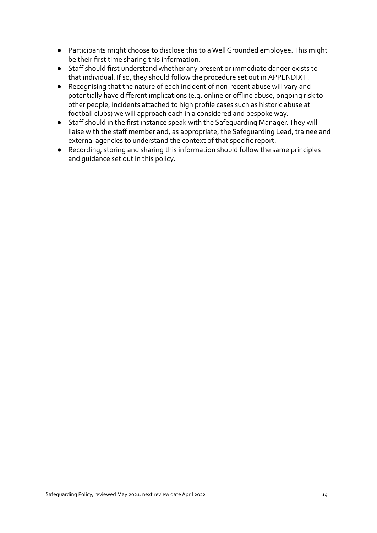- Participants might choose to disclose this to a Well Grounded employee. This might be their first time sharing this information.
- Staff should first understand whether any present or immediate danger exists to that individual. If so, they should follow the procedure set out in APPENDIX F.
- Recognising that the nature of each incident of non-recent abuse will vary and potentially have different implications (e.g. online or offline abuse, ongoing risk to other people, incidents attached to high profile cases such as historic abuse at football clubs) we will approach each in a considered and bespoke way.
- Staff should in the first instance speak with the Safeguarding Manager. They will liaise with the staff member and, as appropriate, the Safeguarding Lead, trainee and external agencies to understand the context of that specific report.
- Recording, storing and sharing this information should follow the same principles and guidance set out in this policy.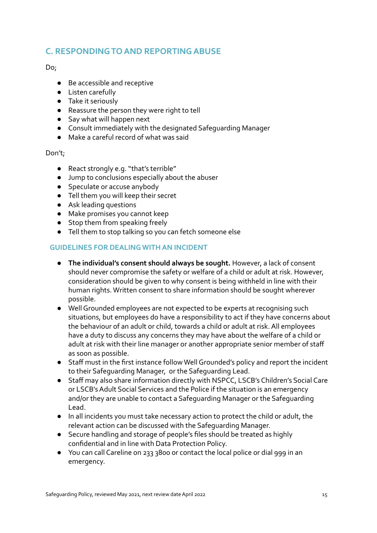# <span id="page-14-0"></span>**C. RESPONDINGTO AND REPORTINGABUSE**

## Do:

- Be accessible and receptive
- Listen carefully
- Take it seriously
- Reassure the person they were right to tell
- Say what will happen next
- Consult immediately with the designated Safeguarding Manager
- Make a careful record of what was said

#### Don't;

- React strongly e.g. "that's terrible"
- Jump to conclusions especially about the abuser
- Speculate or accuse anybody
- Tell them you will keep their secret
- Ask leading questions
- Make promises you cannot keep
- Stop them from speaking freely
- Tell them to stop talking so you can fetch someone else

## <span id="page-14-1"></span>**GUIDELINES FOR DEALING WITH AN INCIDENT**

- **The individual's consent should always be sought.** However, a lack of consent should never compromise the safety or welfare of a child or adult at risk. However, consideration should be given to why consent is being withheld in line with their human rights. Written consent to share information should be sought wherever possible.
- Well Grounded employees are not expected to be experts at recognising such situations, but employees do have a responsibility to act if they have concerns about the behaviour of an adult or child, towards a child or adult at risk. All employees have a duty to discuss any concerns they may have about the welfare of a child or adult at risk with their line manager or another appropriate senior member of staff as soon as possible.
- Staff must in the first instance follow Well Grounded's policy and report the incident to their Safeguarding Manager, or the Safeguarding Lead.
- Staff may also share information directly with NSPCC, LSCB's Children's Social Care or LSCB's Adult Social Services and the Police if the situation is an emergency and/or they are unable to contact a Safeguarding Manager or the Safeguarding Lead.
- In all incidents you must take necessary action to protect the child or adult, the relevant action can be discussed with the Safeguarding Manager.
- Secure handling and storage of people's files should be treated as highly confidential and in line with Data Protection Policy.
- You can call Careline on 233 3800 or contact the local police or dial 999 in an emergency.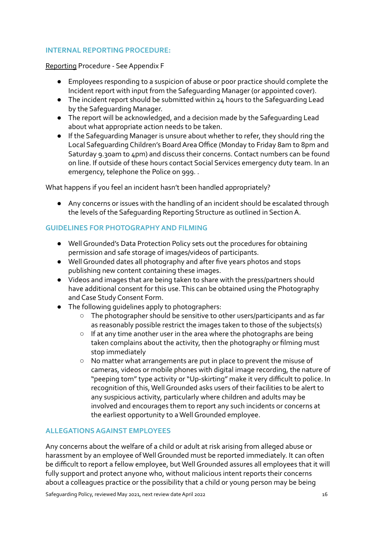## <span id="page-15-0"></span>**INTERNAL REPORTING PROCEDURE:**

Reporting Procedure - See Appendix F

- Employees responding to a suspicion of abuse or poor practice should complete the Incident report with input from the Safeguarding Manager (or appointed cover).
- The incident report should be submitted within 24 hours to the Safeguarding Lead by the Safeguarding Manager.
- The report will be acknowledged, and a decision made by the Safeguarding Lead about what appropriate action needs to be taken.
- If the Safeguarding Manager is unsure about whether to refer, they should ring the Local Safeguarding Children's Board Area Office (Monday to Friday 8am to 8pm and Saturday 9.30am to  $\mu$ pm) and discuss their concerns. Contact numbers can be found on line. If outside of these hours contact Social Services emergency duty team. In an emergency, telephone the Police on 999. .

What happens if you feel an incident hasn't been handled appropriately?

● Any concerns or issues with the handling of an incident should be escalated through the levels of the Safeguarding Reporting Structure as outlined in Section A.

## <span id="page-15-1"></span>**GUIDELINES FOR PHOTOGRAPHY AND FILMING**

- Well Grounded's Data Protection Policy sets out the procedures for obtaining permission and safe storage of images/videos of participants.
- Well Grounded dates all photography and after five years photos and stops publishing new content containing these images.
- Videos and images that are being taken to share with the press/partners should have additional consent for this use. This can be obtained using the Photography and Case Study Consent Form.
- The following guidelines apply to photographers:
	- The photographer should be sensitive to other users/participants and as far as reasonably possible restrict the images taken to those of the subjects(s)
	- If at any time another user in the area where the photographs are being taken complains about the activity, then the photography or filming must stop immediately
	- No matter what arrangements are put in place to prevent the misuse of cameras, videos or mobile phones with digital image recording, the nature of "peeping tom" type activity or "Up-skirting" make it very difficult to police. In recognition of this, Well Grounded asks users of their facilities to be alert to any suspicious activity, particularly where children and adults may be involved and encourages them to report any such incidents or concerns at the earliest opportunity to a Well Grounded employee.

# <span id="page-15-2"></span>**ALLEGATIONS AGAINST EMPLOYEES**

Any concerns about the welfare of a child or adult at risk arising from alleged abuse or harassment by an employee of Well Grounded must be reported immediately. It can often be difficult to report a fellow employee, but Well Grounded assures all employees that it will fully support and protect anyone who, without malicious intent reports their concerns about a colleagues practice or the possibility that a child or young person may be being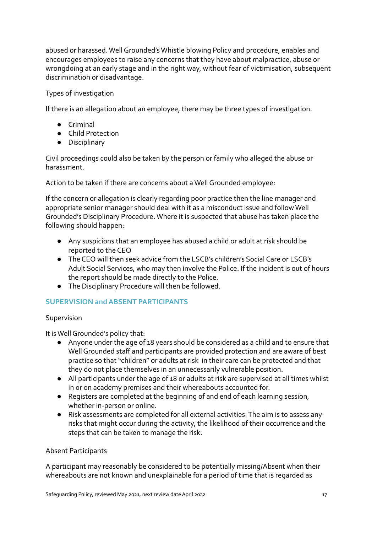abused or harassed. Well Grounded's Whistle blowing Policy and procedure, enables and encourages employees to raise any concerns that they have about malpractice, abuse or wrongdoing at an early stage and in the right way, without fear of victimisation, subsequent discrimination or disadvantage.

#### Types of investigation

If there is an allegation about an employee, there may be three types of investigation.

- Criminal
- Child Protection
- Disciplinary

Civil proceedings could also be taken by the person or family who alleged the abuse or harassment.

Action to be taken if there are concerns about a Well Grounded employee:

If the concern or allegation is clearly regarding poor practice then the line manager and appropriate senior manager should deal with it as a misconduct issue and follow Well Grounded's Disciplinary Procedure. Where it is suspected that abuse has taken place the following should happen:

- Any suspicions that an employee has abused a child or adult at risk should be reported to the CEO
- The CEO will then seek advice from the LSCB's children's Social Care or LSCB's Adult Social Services, who may then involve the Police. If the incident is out of hours the report should be made directly to the Police.
- The Disciplinary Procedure will then be followed.

#### **SUPERVISION and ABSENT PARTICIPANTS**

#### Supervision

It is Well Grounded's policy that:

- Anyone under the age of 18 years should be considered as a child and to ensure that Well Grounded staff and participants are provided protection and are aware of best practice so that "children" or adults at risk in their care can be protected and that they do not place themselves in an unnecessarily vulnerable position.
- All participants under the age of 18 or adults at risk are supervised at all times whilst in or on academy premises and their whereabouts accounted for.
- Registers are completed at the beginning of and end of each learning session, whether in-person or online.
- Risk assessments are completed for all external activities. The aim is to assess any risks that might occur during the activity, the likelihood of their occurrence and the steps that can be taken to manage the risk.

#### Absent Participants

A participant may reasonably be considered to be potentially missing/Absent when their whereabouts are not known and unexplainable for a period of time that is regarded as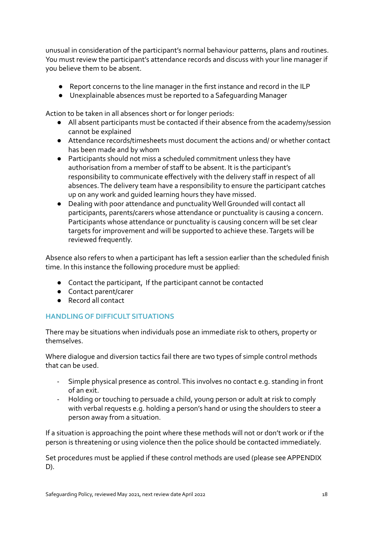unusual in consideration of the participant's normal behaviour patterns, plans and routines. You must review the participant's attendance records and discuss with your line manager if you believe them to be absent.

- Report concerns to the line manager in the first instance and record in the ILP
- Unexplainable absences must be reported to a Safeguarding Manager

Action to be taken in all absences short or for longer periods:

- All absent participants must be contacted if their absence from the academy/session cannot be explained
- Attendance records/timesheets must document the actions and/ or whether contact has been made and by whom
- Participants should not miss a scheduled commitment unless they have authorisation from a member of staff to be absent. It is the participant's responsibility to communicate effectively with the delivery staff in respect of all absences. The delivery team have a responsibility to ensure the participant catches up on any work and guided learning hours they have missed.
- Dealing with poor attendance and punctuality Well Grounded will contact all participants, parents/carers whose attendance or punctuality is causing a concern. Participants whose attendance or punctuality is causing concern will be set clear targets for improvement and will be supported to achieve these. Targets will be reviewed frequently.

Absence also refers to when a participant has left a session earlier than the scheduled finish time. In this instance the following procedure must be applied:

- Contact the participant, If the participant cannot be contacted
- Contact parent/carer
- Record all contact

#### <span id="page-17-0"></span>**HANDLING OF DIFFICULT SITUATIONS**

There may be situations when individuals pose an immediate risk to others, property or themselves.

Where dialogue and diversion tactics fail there are two types of simple control methods that can be used.

- Simple physical presence as control. This involves no contact e.g. standing in front of an exit.
- Holding or touching to persuade a child, young person or adult at risk to comply with verbal requests e.g. holding a person's hand or using the shoulders to steer a person away from a situation.

If a situation is approaching the point where these methods will not or don't work or if the person is threatening or using violence then the police should be contacted immediately.

Set procedures must be applied if these control methods are used (please see APPENDIX D).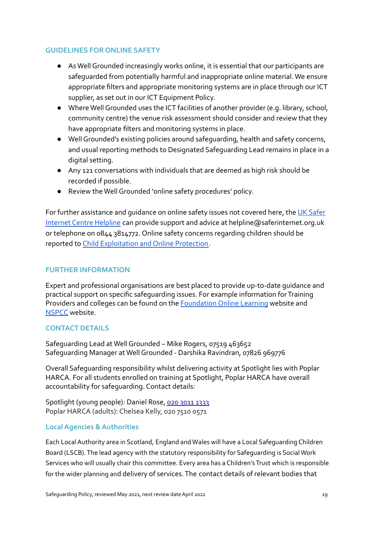#### <span id="page-18-0"></span>**GUIDELINES FOR ONLINE SAFETY**

- As Well Grounded increasingly works online, it is essential that our participants are safeguarded from potentially harmful and inappropriate online material. We ensure appropriate filters and appropriate monitoring systems are in place through our ICT supplier, as set out in our ICT Equipment Policy.
- Where Well Grounded uses the ICT facilities of another provider (e.g. library, school, community centre) the venue risk assessment should consider and review that they have appropriate filters and monitoring systems in place.
- Well Grounded's existing policies around safeguarding, health and safety concerns, and usual reporting methods to Designated Safeguarding Lead remains in place in a digital setting.
- Any 121 conversations with individuals that are deemed as high risk should be recorded if possible.
- Review the Well Grounded 'online safety procedures' policy.

For further assistance and quidance on online safety issues not covered here, the [UK Safer](https://www.saferinternet.org.uk/helpline/professionals-online-safety-helpline) [Internet Centre Helpline](https://www.saferinternet.org.uk/helpline/professionals-online-safety-helpline) can provide support and advice at helpline@saferinternet.org.uk or telephone on 0844 3814772. Online safety concerns regarding children should be reported to [Child Exploitation and Online Protection.](https://www.ceop.police.uk/safety-centre/)

## <span id="page-18-1"></span>**FURTHER INFORMATION**

Expert and professional organisations are best placed to provide up-to-date guidance and practical support on specific safeguarding issues. For example information for Training Providers and colleges can be found on the **Foundation [Online Learning](http://www.foundationonline.org.uk/)** website and [NSPCC](http://www.nspcc.org.uk/what-you-can-do/make-a-donation/donate-alfie/?source=ppc-brand&utm_source=google&utm_medium=cpc&utm_campaign=UK_GO_S_E_BND_Paid_Pure_NSPCC&utm_term=nspcc&gclid=CJaZ3ePY2MgCFY6RGwodQxkCdQ&gclsrc=aw.ds) website.

#### **CONTACT DETAILS**

Safeguarding Lead at Well Grounded – Mike Rogers, 07519 463652 Safeguarding Manager at Well Grounded - Darshika Ravindran, 07826 969776

Overall Safeguarding responsibility whilst delivering activity at Spotlight lies with Poplar HARCA. For all students enrolled on training at Spotlight, Poplar HARCA have overall accountability for safeguarding. Contact details:

Spotlight (young people): Daniel Rose, [020 3011 1333](https://www.google.com/search?q=spotlight+youth+centre&oq=spotlight+youth+ce&aqs=chrome.1.69i57j0l2.6273j0j7&sourceid=chrome&ie=UTF-8#) Poplar HARCA (adults): Chelsea Kelly, 020 7510 0571

#### **Local Agencies & Authorities**

Each LocalAuthority area in Scotland, England andWales will have a Local Safeguarding Children Board (LSCB).The lead agency with the statutory responsibility for Safeguarding is Social Work Services who will usually chair this committee. Every area has a Children's Trust which is responsible for the wider planning and delivery of services. The contact details of relevant bodies that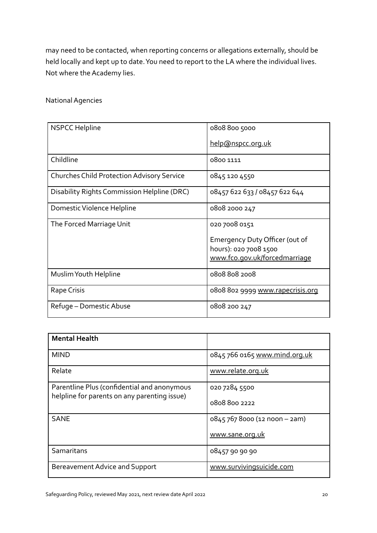may need to be contacted, when reporting concerns or allegations externally, should be held locally and kept up to date. You need to report to the LA where the individual lives. Not where the Academy lies.

#### National Agencies

| <b>NSPCC Helpline</b>                             | 08088005000                                                                              |
|---------------------------------------------------|------------------------------------------------------------------------------------------|
|                                                   | help@nspcc.org.uk                                                                        |
| Childline                                         | 0800 1111                                                                                |
| <b>Churches Child Protection Advisory Service</b> | 0845 120 4550                                                                            |
| Disability Rights Commission Helpline (DRC)       | 08457 622 633 / 08457 622 644                                                            |
| Domestic Violence Helpline                        | 0808 2000 247                                                                            |
| The Forced Marriage Unit                          | 020 7008 0151                                                                            |
|                                                   | Emergency Duty Officer (out of<br>hours): 020 7008 1500<br>www.fco.gov.uk/forcedmarriage |
| Muslim Youth Helpline                             | 08088082008                                                                              |
| Rape Crisis                                       | o8o8 8o2 9999 www.rapecrisis.org                                                         |
| Refuge - Domestic Abuse                           | 0808 200 247                                                                             |

| <b>Mental Health</b>                         |                               |
|----------------------------------------------|-------------------------------|
| <b>MIND</b>                                  | 0845 766 0165 www.mind.org.uk |
| Relate                                       | www.relate.org.uk             |
| Parentline Plus (confidential and anonymous  | 020 7284 5500                 |
| helpline for parents on any parenting issue) | 08088002222                   |
| <b>SANE</b>                                  | 0845 767 8000 (12 noon - 2am) |
|                                              | www.sane.org.uk               |
| Samaritans                                   | 08457909090                   |
| Bereavement Advice and Support               | www.survivingsuicide.com      |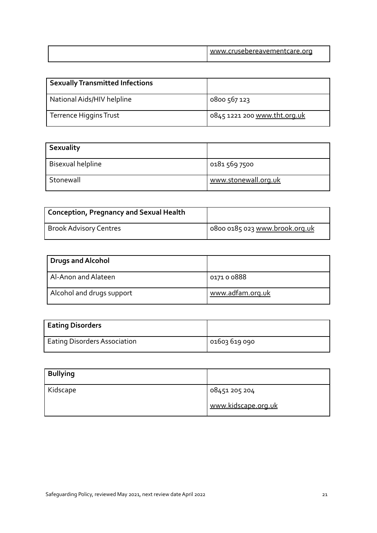|  | $\bf{v}$<br>`` |
|--|----------------|
|--|----------------|

| <b>Sexually Transmitted Infections</b> |                                     |
|----------------------------------------|-------------------------------------|
| National Aids/HIV helpline             | 0800 567 123                        |
| Terrence Higgins Trust                 | 0845 1221 200 <u>www.tht.org.uk</u> |

| Sexuality         |                      |
|-------------------|----------------------|
| Bisexual helpline | 0181 569 7500        |
| Stonewall         | www.stonewall.org.uk |

| Conception, Pregnancy and Sexual Health |                                  |
|-----------------------------------------|----------------------------------|
| <b>Brook Advisory Centres</b>           | l 0800 0185 023 www.brook.org.uk |

| Drugs and Alcohol         |                  |
|---------------------------|------------------|
| Al-Anon and Alateen       | 0171 0 0888      |
| Alcohol and drugs support | www.adfam.org.uk |

| <b>Eating Disorders</b>             |               |
|-------------------------------------|---------------|
| <b>Eating Disorders Association</b> | 01603 619 090 |

<span id="page-20-0"></span>

| Bullying |                     |
|----------|---------------------|
| Kidscape | 08451 205 204       |
|          | www.kidscape.org.uk |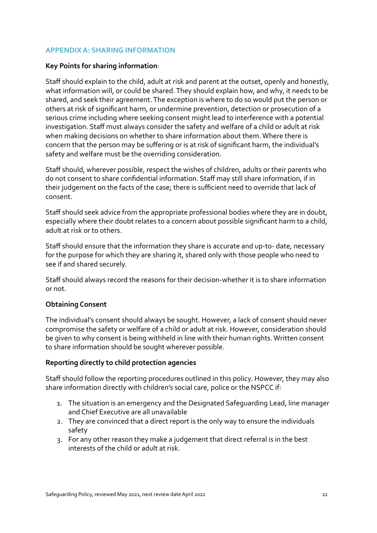## **APPENDIX A: SHARING INFORMATION**

#### **Key Points for sharing information**:

Staff should explain to the child, adult at risk and parent at the outset, openly and honestly, what information will, or could be shared. They should explain how, and why, it needs to be shared, and seek their agreement. The exception is where to do so would put the person or others at risk of significant harm, or undermine prevention, detection or prosecution of a serious crime including where seeking consent might lead to interference with a potential investigation. Staff must always consider the safety and welfare of a child or adult at risk when making decisions on whether to share information about them. Where there is concern that the person may be suffering or is at risk of significant harm, the individual's safety and welfare must be the overriding consideration.

Staff should, wherever possible, respect the wishes of children, adults or their parents who do not consent to share confidential information. Staff may still share information, if in their judgement on the facts of the case; there is sufficient need to override that lack of consent.

Staff should seek advice from the appropriate professional bodies where they are in doubt, especially where their doubt relates to a concern about possible significant harm to a child, adult at risk or to others.

Staff should ensure that the information they share is accurate and up-to- date, necessary for the purpose for which they are sharing it, shared only with those people who need to see if and shared securely.

Staff should always record the reasons for their decision-whether it is to share information or not.

#### **Obtaining Consent**

The individual's consent should always be sought. However, a lack of consent should never compromise the safety or welfare of a child or adult at risk. However, consideration should be given to why consent is being withheld in line with their human rights. Written consent to share information should be sought wherever possible.

#### **Reporting directly to child protection agencies**

Staff should follow the reporting procedures outlined in this policy. However, they may also share information directly with children's social care, police or the NSPCC if:

- 1. The situation is an emergency and the Designated Safeguarding Lead, line manager and Chief Executive are all unavailable
- 2. They are convinced that a direct report is the only way to ensure the individuals safety
- <span id="page-21-0"></span>3. For any other reason they make a judgement that direct referral is in the best interests of the child or adult at risk.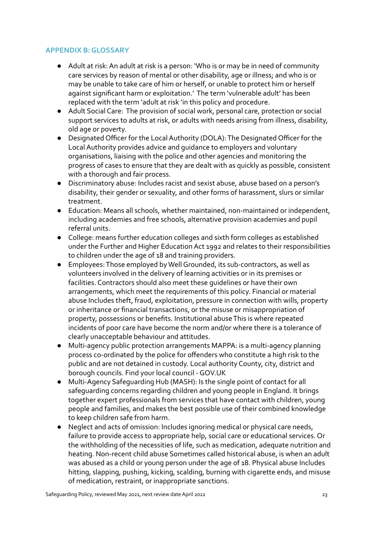#### **APPENDIX B: GLOSSARY**

- Adult at risk: An adult at risk is a person: 'Who is or may be in need of community care services by reason of mental or other disability, age or illness; and who is or may be unable to take care of him or herself, or unable to protect him or herself against significant harm or exploitation.' The term 'vulnerable adult' has been replaced with the term 'adult at risk 'in this policy and procedure.
- Adult Social Care: The provision of social work, personal care, protection or social support services to adults at risk, or adults with needs arising from illness, disability, old age or poverty.
- Designated Officer for the Local Authority (DOLA): The Designated Officer for the Local Authority provides advice and guidance to employers and voluntary organisations, liaising with the police and other agencies and monitoring the progress of cases to ensure that they are dealt with as quickly as possible, consistent with a thorough and fair process.
- Discriminatory abuse: Includes racist and sexist abuse, abuse based on a person's disability, their gender or sexuality, and other forms of harassment, slurs or similar treatment.
- Education: Means all schools, whether maintained, non-maintained or independent, including academies and free schools, alternative provision academies and pupil referral units.
- College: means further education colleges and sixth form colleges as established under the Further and Higher Education Act 1992 and relates to their responsibilities to children under the age of 18 and training providers.
- Employees: Those employed by Well Grounded, its sub-contractors, as well as volunteers involved in the delivery of learning activities or in its premises or facilities. Contractors should also meet these guidelines or have their own arrangements, which meet the requirements of this policy. Financial or material abuse Includes theft, fraud, exploitation, pressure in connection with wills, property or inheritance or financial transactions, or the misuse or misappropriation of property, possessions or benefits. Institutional abuse This is where repeated incidents of poor care have become the norm and/or where there is a tolerance of clearly unacceptable behaviour and attitudes.
- Multi-agency public protection arrangements MAPPA: is a multi-agency planning process co-ordinated by the police for offenders who constitute a high risk to the public and are not detained in custody. Local authority County, city, district and borough councils. Find your local council - GOV.UK
- Multi-Agency Safeguarding Hub (MASH): Is the single point of contact for all safeguarding concerns regarding children and young people in England. It brings together expert professionals from services that have contact with children, young people and families, and makes the best possible use of their combined knowledge to keep children safe from harm.
- Neglect and acts of omission: Includes ignoring medical or physical care needs, failure to provide access to appropriate help, social care or educational services. Or the withholding of the necessities of life, such as medication, adequate nutrition and heating. Non-recent child abuse Sometimes called historical abuse, is when an adult was abused as a child or young person under the age of 18. Physical abuse Includes hitting, slapping, pushing, kicking, scalding, burning with cigarette ends, and misuse of medication, restraint, or inappropriate sanctions.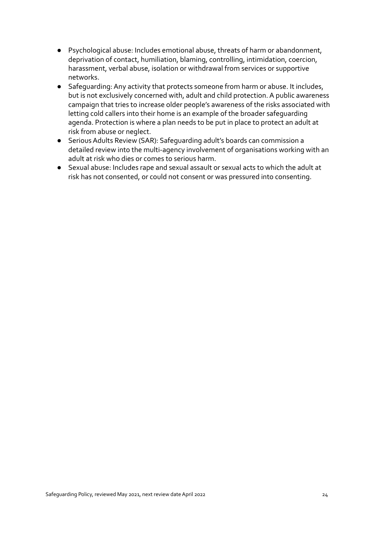- Psychological abuse: Includes emotional abuse, threats of harm or abandonment, deprivation of contact, humiliation, blaming, controlling, intimidation, coercion, harassment, verbal abuse, isolation or withdrawal from services or supportive networks.
- Safeguarding: Any activity that protects someone from harm or abuse. It includes, but is not exclusively concerned with, adult and child protection. A public awareness campaign that tries to increase older people's awareness of the risks associated with letting cold callers into their home is an example of the broader safeguarding agenda. Protection is where a plan needs to be put in place to protect an adult at risk from abuse or neglect.
- Serious Adults Review (SAR): Safeguarding adult's boards can commission a detailed review into the multi-agency involvement of organisations working with an adult at risk who dies or comes to serious harm.
- <span id="page-23-0"></span>● Sexual abuse: Includes rape and sexual assault or sexual acts to which the adult at risk has not consented, or could not consent or was pressured into consenting.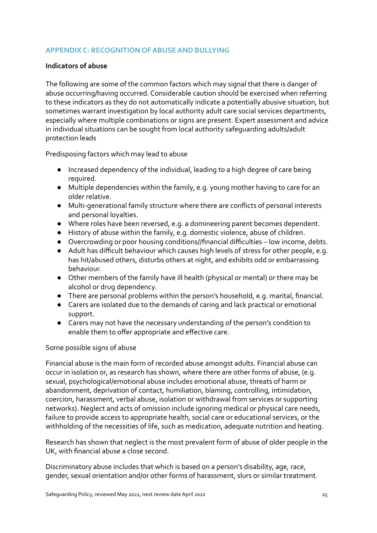# **APPENDIX C: RECOGNITION OF ABUSE AND BULLYING**

#### **Indicators of abuse**

The following are some of the common factors which may signal that there is danger of abuse occurring/having occurred. Considerable caution should be exercised when referring to these indicators as they do not automatically indicate a potentially abusive situation, but sometimes warrant investigation by local authority adult care social services departments, especially where multiple combinations or signs are present. Expert assessment and advice in individual situations can be sought from local authority safeguarding adults/adult protection leads

Predisposing factors which may lead to abuse

- Increased dependency of the individual, leading to a high degree of care being required.
- Multiple dependencies within the family, e.g. young mother having to care for an older relative.
- Multi-generational family structure where there are conflicts of personal interests and personal loyalties.
- Where roles have been reversed, e.g. a domineering parent becomes dependent.
- History of abuse within the family, e.g. domestic violence, abuse of children.
- Overcrowding or poor housing conditions//financial difficulties low income, debts.
- Adult has difficult behaviour which causes high levels of stress for other people, e.g. has hit/abused others, disturbs others at night, and exhibits odd or embarrassing behaviour.
- Other members of the family have ill health (physical or mental) or there may be alcohol or drug dependency.
- There are personal problems within the person's household, e.g. marital, financial.
- Carers are isolated due to the demands of caring and lack practical or emotional support.
- Carers may not have the necessary understanding of the person's condition to enable them to offer appropriate and effective care.

#### Some possible signs of abuse

Financial abuse is the main form of recorded abuse amongst adults. Financial abuse can occur in isolation or, as research has shown, where there are other forms of abuse, (e.g. sexual, psychological/emotional abuse includes emotional abuse, threats of harm or abandonment, deprivation of contact, humiliation, blaming, controlling, intimidation, coercion, harassment, verbal abuse, isolation or withdrawal from services or supporting networks). Neglect and acts of omission include ignoring medical or physical care needs, failure to provide access to appropriate health, social care or educational services, or the withholding of the necessities of life, such as medication, adequate nutrition and heating.

Research has shown that neglect is the most prevalent form of abuse of older people in the UK, with financial abuse a close second.

Discriminatory abuse includes that which is based on a person's disability, age, race, gender, sexual orientation and/or other forms of harassment, slurs or similar treatment.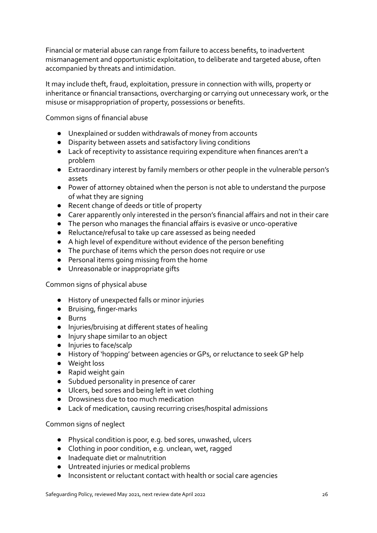Financial or material abuse can range from failure to access benefits, to inadvertent mismanagement and opportunistic exploitation, to deliberate and targeted abuse, often accompanied by threats and intimidation.

It may include theft, fraud, exploitation, pressure in connection with wills, property or inheritance or financial transactions, overcharging or carrying out unnecessary work, or the misuse or misappropriation of property, possessions or benefits.

Common signs of financial abuse

- Unexplained or sudden withdrawals of money from accounts
- Disparity between assets and satisfactory living conditions
- Lack of receptivity to assistance requiring expenditure when finances aren't a problem
- Extraordinary interest by family members or other people in the vulnerable person's assets
- Power of attorney obtained when the person is not able to understand the purpose of what they are signing
- Recent change of deeds or title of property
- Carer apparently only interested in the person's financial affairs and not in their care
- The person who manages the financial affairs is evasive or unco-operative
- Reluctance/refusal to take up care assessed as being needed
- A high level of expenditure without evidence of the person benefiting
- The purchase of items which the person does not require or use
- Personal items going missing from the home
- Unreasonable or inappropriate gifts

#### Common signs of physical abuse

- History of unexpected falls or minor injuries
- Bruising, finger-marks
- Burns
- Injuries/bruising at different states of healing
- Injury shape similar to an object
- Injuries to face/scalp
- History of 'hopping' between agencies or GPs, or reluctance to seek GP help
- Weight loss
- Rapid weight gain
- Subdued personality in presence of carer
- Ulcers, bed sores and being left in wet clothing
- Drowsiness due to too much medication
- Lack of medication, causing recurring crises/hospital admissions

#### Common signs of neglect

- Physical condition is poor, e.g. bed sores, unwashed, ulcers
- Clothing in poor condition, e.g. unclean, wet, ragged
- Inadequate diet or malnutrition
- Untreated injuries or medical problems
- Inconsistent or reluctant contact with health or social care agencies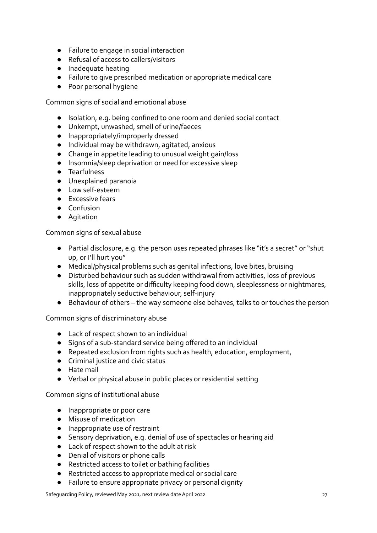- Failure to engage in social interaction
- Refusal of access to callers/visitors
- Inadequate heating
- Failure to give prescribed medication or appropriate medical care
- Poor personal hygiene

Common signs of social and emotional abuse

- Isolation, e.g. being confined to one room and denied social contact
- Unkempt, unwashed, smell of urine/faeces
- Inappropriately/improperly dressed
- Individual may be withdrawn, agitated, anxious
- Change in appetite leading to unusual weight gain/loss
- Insomnia/sleep deprivation or need for excessive sleep
- Tearfulness
- Unexplained paranoia
- Low self-esteem
- Excessive fears
- Confusion
- Agitation

Common signs of sexual abuse

- Partial disclosure, e.g. the person uses repeated phrases like "it's a secret" or "shut up, or I'll hurt you"
- Medical/physical problems such as genital infections, love bites, bruising
- Disturbed behaviour such as sudden withdrawal from activities, loss of previous skills, loss of appetite or difficulty keeping food down, sleeplessness or nightmares, inappropriately seductive behaviour, self-injury
- Behaviour of others the way someone else behaves, talks to or touches the person

Common signs of discriminatory abuse

- Lack of respect shown to an individual
- Signs of a sub-standard service being offered to an individual
- Repeated exclusion from rights such as health, education, employment,
- Criminal justice and civic status
- Hate mail
- Verbal or physical abuse in public places or residential setting

Common signs of institutional abuse

- Inappropriate or poor care
- Misuse of medication
- Inappropriate use of restraint
- Sensory deprivation, e.g. denial of use of spectacles or hearing aid
- Lack of respect shown to the adult at risk
- Denial of visitors or phone calls
- Restricted access to toilet or bathing facilities
- Restricted access to appropriate medical or social care
- Failure to ensure appropriate privacy or personal dignity

Safeguarding Policy, reviewed May 2021, next review date April 2022<br>27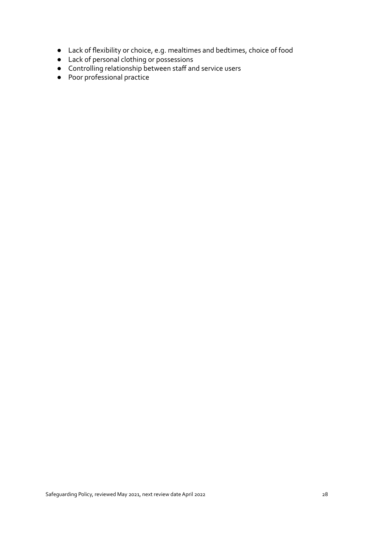- Lack of flexibility or choice, e.g. mealtimes and bedtimes, choice of food
- Lack of personal clothing or possessions
- Controlling relationship between staff and service users
- Poor professional practice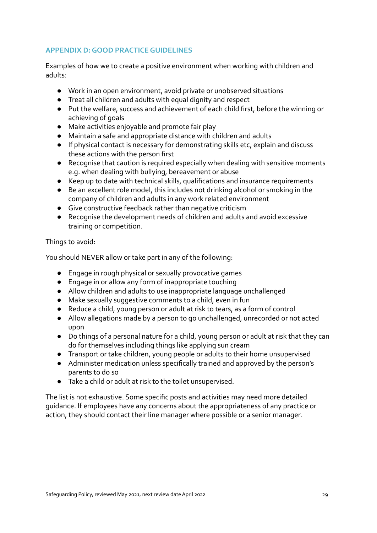# <span id="page-28-0"></span>**APPENDIX D: GOOD PRACTICE GUIDELINES**

Examples of how we to create a positive environment when working with children and adults:

- Work in an open environment, avoid private or unobserved situations
- Treat all children and adults with equal dignity and respect
- Put the welfare, success and achievement of each child first, before the winning or achieving of goals
- Make activities enjoyable and promote fair play
- Maintain a safe and appropriate distance with children and adults
- If physical contact is necessary for demonstrating skills etc, explain and discuss these actions with the person first
- Recognise that caution is required especially when dealing with sensitive moments e.g. when dealing with bullying, bereavement or abuse
- Keep up to date with technical skills, qualifications and insurance requirements
- Be an excellent role model, this includes not drinking alcohol or smoking in the company of children and adults in any work related environment
- Give constructive feedback rather than negative criticism
- Recognise the development needs of children and adults and avoid excessive training or competition.

#### Things to avoid:

You should NEVER allow or take part in any of the following:

- Engage in rough physical or sexually provocative games
- Engage in or allow any form of inappropriate touching
- Allow children and adults to use inappropriate language unchallenged
- Make sexually suggestive comments to a child, even in fun
- Reduce a child, young person or adult at risk to tears, as a form of control
- Allow allegations made by a person to go unchallenged, unrecorded or not acted upon
- Do things of a personal nature for a child, young person or adult at risk that they can do for themselves including things like applying sun cream
- Transport or take children, young people or adults to their home unsupervised
- Administer medication unless specifically trained and approved by the person's parents to do so
- Take a child or adult at risk to the toilet unsupervised.

The list is not exhaustive. Some specific posts and activities may need more detailed guidance. If employees have any concerns about the appropriateness of any practice or action, they should contact their line manager where possible or a senior manager.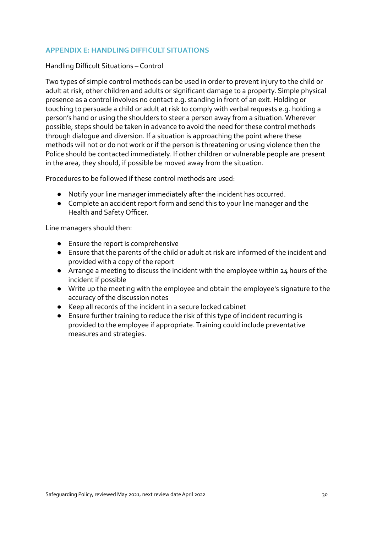## <span id="page-29-0"></span>**APPENDIX E: HANDLING DIFFICULT SITUATIONS**

#### Handling Difficult Situations – Control

Two types of simple control methods can be used in order to prevent injury to the child or adult at risk, other children and adults or significant damage to a property. Simple physical presence as a control involves no contact e.g. standing in front of an exit. Holding or touching to persuade a child or adult at risk to comply with verbal requests e.g. holding a person's hand or using the shoulders to steer a person away from a situation. Wherever possible, steps should be taken in advance to avoid the need for these control methods through dialogue and diversion. If a situation is approaching the point where these methods will not or do not work or if the person is threatening or using violence then the Police should be contacted immediately. If other children or vulnerable people are present in the area, they should, if possible be moved away from the situation.

Procedures to be followed if these control methods are used:

- Notify your line manager immediately after the incident has occurred.
- Complete an accident report form and send this to your line manager and the Health and Safety Officer.

Line managers should then:

- Ensure the report is comprehensive
- Ensure that the parents of the child or adult at risk are informed of the incident and provided with a copy of the report
- Arrange a meeting to discuss the incident with the employee within 24 hours of the incident if possible
- Write up the meeting with the employee and obtain the employee's signature to the accuracy of the discussion notes
- Keep all records of the incident in a secure locked cabinet
- Ensure further training to reduce the risk of this type of incident recurring is provided to the employee if appropriate. Training could include preventative measures and strategies.